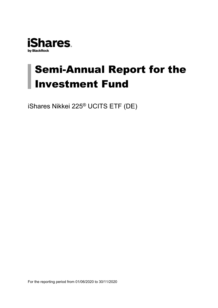

# Semi-Annual Report for the Investment Fund

iShares Nikkei 225® UCITS ETF (DE)

For the reporting period from 01/06/2020 to 30/11/2020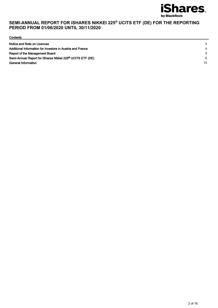

**Contents** 

| Notice and Note on Licences                                           | 3  |
|-----------------------------------------------------------------------|----|
| Additional Information for Investors in Austria and France            |    |
| Report of the Management Board                                        | .5 |
| Semi-Annual Report for iShares Nikkei 225 <sup>®</sup> UCITS ETF (DE) | 6  |
| General Information                                                   | 15 |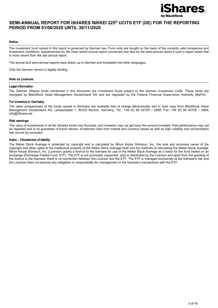

#### Notice

The investment fund named in this report is governed by German law. Fund units are bought on the basis of the currently valid prospectus and investment conditions, supplemented by the most recent annual report concerned and also by the semi-annual report if such a report exists that is more recent than the last annual report.

The annual and semi-annual reports were drawn up in German and translated into other languages.

Only the German version is legally binding.

#### Note on Licences

#### Legal information

The German iShares funds mentioned in this document are investment funds subject to the German Investment Code. These funds are managed by BlackRock Asset Management Deutschland AG and are regulated by the Federal Financial Supervisory Authority (BaFin).

#### For investors in Germany

The sales prospectuses of the funds issued in Germany are available free of charge electronically and in hard copy from BlackRock Asset Management Deutschland AG, Lenbachplatz 1, 80333 Munich, Germany, Tel.: +49 (0) 89 42729 – 5858, Fax: +49 (0) 89 42729 – 5958, info@iShares.de.

#### Risk warnings

The value of investments in all the iShares funds may fluctuate, and investors may not get back the amount invested. Past performance may not be repeated and is no guarantee of future returns. Investment risks from market and currency losses as well as high volatility and concentration risk cannot be excluded.

#### Index – Disclaimers of liability

The Nikkei Stock Average is protected by copyright and is calculated by Nihon Keizai Shimbun, Inc., the sole and exclusive owner of the copyright and other rights to the intellectual property of the Nikkei Stock Average itself and the methods of calculating the Nikkei Stock Average. Nihon Keizai Shimbun, Inc. (Licensor) grants a licence to the licensee for use of the Nikkei Stock Average as a basis for the fund traded on an exchange (Exchange-Traded Fund, ETF). The ETF is not promoted, supported, sold or distributed by the Licensor and apart from the granting of the licence to the licensee, there is no connection between the Licensor and the ETF. The ETF is managed exclusively at the licensee's risk and the Licensor does not assume any obligation or responsibility for management or the licensee's transactions with the ETF.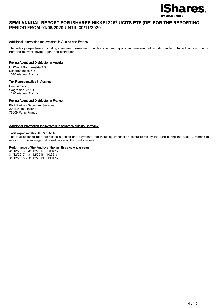

#### Additional Information for Investors in Austria and France

The sales prospectuses, including investment terms and conditions, annual reports and semi-annual reports can be obtained, without charge, from the relevant paying agent and distributor.

#### Paying Agent and Distributor in Austria:

UniCredit Bank Austria AG Schottengasse 6-8 1010 Vienna, Austria

#### Tax Representative in Austria:

Ernst & Young Wagramer Str. 19 1220 Vienna, Austria

#### Paying Agent and Distributor in France:

BNP Paribas Securities Services 20, BD. des Italiens 75009 Paris, France

#### Additional information for investors in countries outside Germany:

#### Total expense ratio (TER): 0.51%.

The total expense ratio expresses all costs and payments (not including transaction costs) borne by the fund during the past 12 months in relation to the average net asset value of the fund's assets.

#### Performance of the fund over the last three calendar years:

31/12/2016 – 31/12/2017: +20.18% 31/12/2017 – 31/12/2018: -10.96% 31/12/2018 – 31/12/2019: +19.70%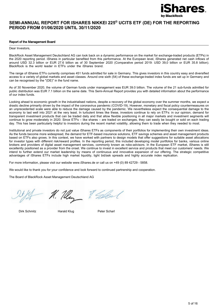

#### Report of the Management Board

#### Dear Investors,

BlackRock Asset Management Deutschland AG can look back on a dynamic performance on the market for exchange-traded products (ETPs) in the 2020 reporting period. iShares in particular benefited from this performance. At the European level, iShares generated net cash inflows of around USD 32.3 billion or EUR 27.6 billion as of 30 September 2020 (Comparative period 2019: USD 39,0 billion or EUR 35.8 billion). BlackRock is the world leader in ETFs under the iShares brand.

The range of iShares ETFs currently comprises 451 funds admitted for sale in Germany. This gives investors in this country easy and diversified access to a variety of global markets and asset classes. Around one sixth (54) of these exchange-traded index funds are set up in Germany and can be recognised by the "(DE)" in the fund name.

As of 30 November 2020, the volume of German funds under management was EUR 39.0 billion. The volume of the 21 sub-funds admitted for public distribution was EUR 7.1 billion on the same date. This Semi-Annual Report provides you with detailed information about the performance of our index funds.

Looking ahead to economic growth in the industrialised nations, despite a recovery of the global economy over the summer months, we expect a drastic decline primarily driven by the impact of the coronavirus pandemic (COVID-19). However, monetary and fiscal policy countermeasures on an unprecedented scale were able to reduce the damage caused by the pandemic. We nevertheless expect the consequential damage to the economy to last well into 2021 at the very least. In turbulent times like these, investors continue to rely on ETFs: in our opinion, demand for transparent investment products that can be traded daily and that allow flexible positioning in all major markets and investment segments will continue to grow moderately in 2020. Since ETFs – like shares – are traded on exchanges, they can easily be bought or sold on each trading day. This has been particularly helpful to investors during the recent market volatility, allowing them to trade when they needed to most.

Institutional and private investors do not just value iShares ETFs as components of their portfolios for implementing their own investment ideas. As the funds become more widespread, the demand for ETF-based insurance solutions, ETF savings schemes and asset management products based on ETFs also grows. In this context, we have worked with partners to design models that offer suggestions for suitable asset allocations for investor types with different risk/reward profiles. In the reporting period, this included developing model portfolios for banks, various online brokers and providers of digital asset management services, commonly known as robo-advisors. In the European ETF market, iShares is still excellently positioned as a provider from the onset. We continue to invest in excellent service and products that meet our customers' needs. We intend to further extend our market leadership by means of continuous and innovative expansion of our offering. The strategic competitive advantages of iShares ETFs include high market liquidity, tight bid/ask spreads and highly accurate index replication.

For more information, please visit our website www.iShares.de or call us on +49 (0) 89 42729 - 5858.

We would like to thank you for your confidence and look forward to continued partnership and cooperation.

The Board of BlackRock Asset Management Deutschland AG

M. May & Glad

Dirk Schmitz **Harald Klug Peter Scharl**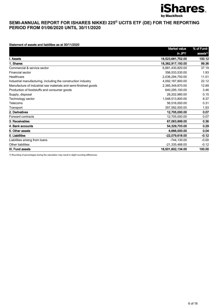

#### Statement of assets and liabilities as at 30/11/2020

|                                                                 | <b>Market value</b> | % of Fund-           |
|-----------------------------------------------------------------|---------------------|----------------------|
|                                                                 | in JPY              | assets <sup>1)</sup> |
| I. Assets                                                       | 18,523,681,752.00   | 100.12               |
| 1. Shares                                                       | 18.382.917.150.00   | 99.36                |
| Commercial & service sector                                     | 6,881,430,820.00    | 37.19                |
| Financial sector                                                | 356,533,530.00      | 1.93                 |
| Healthcare                                                      | 2,036,294,750.00    | 11.01                |
| Industrial manufacturing, including the construction industry   | 4,092,187,800.00    | 22.12                |
| Manufacture of industrial raw materials and semi-finished goods | 2,385,349,870.00    | 12.89                |
| Production of foodstuffs and consumer goods                     | 640,295,100.00      | 3.46                 |
| Supply, disposal                                                | 28,202,980.00       | 0.15                 |
| Technology sector                                               | 1,548,513,800.00    | 8.37                 |
| Telecoms                                                        | 56,516,000.00       | 0.31                 |
| Transport                                                       | 357,592,500.00      | 1.93                 |
| 2. Derivatives                                                  | 12,705,000.00       | 0.07                 |
| Forward contracts                                               | 12,705,000.00       | 0.07                 |
| 3. Receivables                                                  | 67,063,899.00       | 0.36                 |
| 4. Bank accounts                                                | 54,329,703.00       | 0.29                 |
| 5. Other assets                                                 | 6,666,000.00        | 0.04                 |
| II. Liabilities                                                 | -22,079,618.00      | $-0.12$              |
| Liabilities arising from loans                                  | $-744.130.00$       | $-0.00$              |
| Other liabilities                                               | $-21,335,488.00$    | $-0.12$              |
| III. Fund assets                                                | 18.501.602.134.00   | 100.00               |

1) Rounding of percentages during the calculation may result in slight rounding differences.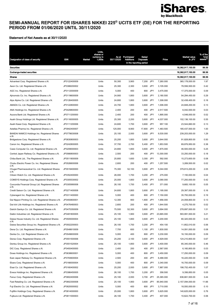

#### Statement of Net Assets as at 30/11/2020

|                                                          |              |               | Units,<br>shares or   |            |                               |                            |            |            |                               | % of the                    |
|----------------------------------------------------------|--------------|---------------|-----------------------|------------|-------------------------------|----------------------------|------------|------------|-------------------------------|-----------------------------|
| Designation of class of security                         | <b>ISIN</b>  | <b>Market</b> | currency in<br>1,000s | 30/11/2020 | As at Purchases/<br>Additions | Sales/<br><b>Disposals</b> |            | Price      | <b>Market value</b><br>in JPY | fund<br>assets <sup>2</sup> |
|                                                          |              |               |                       |            |                               | in the reporting period    |            |            |                               |                             |
| <b>Securities</b>                                        |              |               |                       |            |                               |                            |            |            | 18,382,917,150.00             | 99.36                       |
| <b>Exchange-traded securities</b>                        |              |               |                       |            |                               |                            |            |            | 18,382,917,150.00             | 99.36                       |
| Shares                                                   |              |               |                       |            |                               |                            |            |            | 18,382,917,150.00             | 99.36                       |
| Advantest Corp. Registered Shares o.N.                   | JP3122400009 |               | Units                 | 50,300     | 3,900                         | 7,200                      | <b>JPY</b> | 7,260.000  | 365,178,000.00                | 1.97                        |
| Aeon Co. Ltd. Registered Shares o.N.                     | JP3388200002 |               | Units                 | 25,300     | 2,300                         | 3,600                      | JPY        | 3,105.000  | 78,556,500.00                 | 0.42                        |
| AGC Inc. Registered Shares o.N.                          | JP3112000009 |               | Units                 | 5,000      | 400                           | 800                        | JPY        | 3,475.000  | 17,375,000.00                 | 0.09                        |
| Ajinomoto Co. Inc. Registered Shares o.N.                | JP3119600009 |               | Units                 | 24,900     | 1,800                         | 3,600                      | JPY        | 2,180.500  | 54,294,450.00                 | 0.29                        |
| Alps Alpine Co. Ltd. Registered Shares o.N.              | JP3126400005 |               | Units                 | 24,800     | 1,800                         | 3,600                      | JPY        | 1,308.000  | 32,438,400.00                 | 0.18                        |
| AMADA Co. Ltd. Registered Shares o.N.                    | JP3122800000 |               | Units                 | 24,700     | 1,800                         | 3,600                      | JPY        | 1,006.000  | 24,848,200.00                 | 0.13                        |
| ANA Holdings Inc. Registered Shares o.N.                 | JP3429800000 |               | Units                 | 2,400      | 200                           | 400                        | JPY        | 2,517.500  | 6,042,000.00                  | 0.03                        |
| Aozora Bank Ltd. Registered Shares o.N.                  | JP3711200000 |               | Units                 | 2,400      | 200                           | 400                        | JPY        | 1,895.000  | 4,548,000.00                  | 0.02                        |
| Asahi Group Holdings Ltd. Registered Shares o.N.         | JP3116000005 |               | Units                 | 25,300     | 2,200                         | 3,600                      | JPY        | 4,037.000  | 102,136,100.00                | 0.55                        |
| Asahi Kasei Corp. Registered Shares o.N.                 | JP3111200006 |               | Units                 | 24,600     | 1,700                         | 3,600                      | JPY        | 957.100    | 23,544,660.00                 | 0.13                        |
| Astellas Pharma Inc. Registered Shares o.N.              | JP3942400007 |               | Units                 | 125,000    | 8,900                         | 17,800                     | JPY        | 1,483.500  | 185,437,500.00                | 1.00                        |
| BANDAI NAMCO Holdings Inc. Registered Shares<br>0.N.     | JP3778630008 |               | Units                 | 25,100     | 2,000                         | 3,600                      | JPY        | 9,530.000  | 239,203,000.00                | 1.29                        |
| Bridgestone Corp. Registered Shares o.N.                 | JP3830800003 |               | Units                 | 25,200     | 1,800                         | 3,600                      | JPY        | 3,644.000  | 91,828,800.00                 | 0.50                        |
| Canon Inc. Registered Shares o.N.                        | JP3242800005 |               | Units                 | 37,700     | 2,700                         | 5,400                      | JPY        | 1,853.500  | 69,876,950.00                 | 0.38                        |
| Casio Computer Co. Ltd. Registered Shares o.N.           | JP3209000003 |               | Units                 | 24,800     | 1,800                         | 3,600                      | JPY        | 1,875.000  | 46,500,000.00                 | 0.25                        |
| Central Japan Railway Co. Registered Shares o.N.         | JP3566800003 |               | Units                 | 2,500      | 200                           | 400                        | JPY        | 13,300.000 | 33,250,000.00                 | 0.18                        |
| Chiba Bank Ltd., The Registered Shares o.N.              | JP3511800009 |               | Units                 | 25,800     | 1,600                         | 3,300                      | JPY        | 592.000    | 15,273,600.00                 | 0.08                        |
| Chubu Electric Power Co. Inc. Registered Shares          | JP3526600006 |               | Units                 | 2,600      | 200                           | 400                        | JPY        | 1,257.500  | 3,269,500.00                  | 0.02                        |
| 0.N.<br>Chugai Pharmaceutical Co. Ltd. Registered Shares | JP3519400000 |               | Units                 | 75,300     | 52,100                        | 3,600                      | JPY        | 5,044.000  | 379,813,200.00                | 2.05                        |
| 0.N.<br>Citizen Watch Co. Ltd. Registered Shares o.N.    | JP3352400000 |               | Units                 | 26,000     | 1,700                         | 3,200                      | JPY        | 275.000    | 7,150,000.00                  | 0.04                        |
| COMSYS Holdings Corp. Registered Shares o.N.             | JP3305530002 |               | Units                 | 25,000     | 1,800                         | 3,600                      | JPY        | 3,090.000  | 77,250,000.00                 | 0.42                        |
| Concordia Financial Group Ltd. Registered Shares         | JP3305990008 |               | Units                 | 26,100     | 1,700                         | 3,400                      | JPY        | 371.000    | 9,683,100.00                  | 0.05                        |
| 0.N.                                                     |              |               |                       |            |                               |                            |            |            |                               |                             |
| Credit Saison Co. Ltd. Registered Shares o.N.            | JP3271400008 |               | Units                 | 24,600     | 1,800                         | 3,600                      | JPY        | 1,195.000  | 29,397,000.00                 | 0.16                        |
| Cyberagent Inc. Registered Shares o.N.                   | JP3311400000 |               | Units                 | 5,000      | 400                           | 800                        | JPY        | 7,150.000  | 35,750,000.00                 | 0.19                        |
| Dai Nippon Printing Co. Ltd. Registered Shares o.N.      | JP3493800001 |               | Units                 | 12,300     | 900                           | 1,800                      | JPY        | 1,956.000  | 24,058,800.00                 | 0.13                        |
| Dai-Ichi Life Holdings Inc. Registered Shares o.N.       | JP3476480003 |               | Units                 | 2,600      | 200                           | 400                        | JPY        | 1,644.500  | 4,275,700.00                  | 0.02                        |
| Daiichi Sankyo Co. Ltd. Registered Shares o.N.           | JP3475350009 |               | Units                 | 75,500     | 52,300                        | 3,600                      | <b>JP</b>  | 3,694.000  | 278,897,000.00                | 1.51                        |
| Daikin Industries Ltd. Registered Shares o.N.            | JP3481800005 |               | Units                 | 25,100     | 1,900                         | 3,600                      | JPY        | 23,665.000 | 593,991,500.00                | 3.21                        |
| Daiwa House Industry Co. Ltd. Registered Shares<br>0.N.  | JP3505000004 |               | Units                 | 25,100     | 1,800                         | 3,600                      | JPY        | 3,200.000  | 80,320,000.00                 | 0.43                        |
| Daiwa Securities Group Inc. Registered Shares o.N.       | JP3502200003 |               | Units                 | 26,100     | 1,700                         | 3,200                      | JPY        | 454.100    | 11,852,010.00                 | 0.06                        |
| Dena Co. Ltd. Registered Shares o.N.                     | JP3548610009 |               | Units                 | 7,700      | 600                           | 1,100                      | JPY        | 1,830.000  | 14,091,000.00                 | 0.08                        |
| Denka Co., Ltd. Registered Shares o.N.                   | JP3549600009 |               | Units                 | 5,000      | 400                           | 800                        | JPY        | 3,230.000  | 16,150,000.00                 | 0.09                        |
| Denso Corp. Registered Shares o.N.                       | JP3551500006 |               | Units                 | 25,200     | 2,100                         | 3,600                      | JPY        | 4,929.000  | 124,210,800.00                | 0.67                        |
| Dentsu Group Inc. Registered Shares o.N.                 | JP3551520004 |               | Units                 | 25,100     | 1,800                         | 3,600                      | JPY        | 3,400.000  | 85,340,000.00                 | 0.46                        |
| DIC Corp. Registered Shares o.N.                         | JP3493400000 |               | Units                 | 2,400      | 200                           | 400                        | JPY        | 2,567.000  | 6,160,800.00                  | 0.03                        |
| Dowa Holdings Inc. Registered Shares o.N.                | JP3638600001 |               | Units                 | 5,000      | 400                           | 800                        | JPY        | 3,450.000  | 17,250,000.00                 | 0.09                        |
| East Japan Railway Co. Registered Shares o.N.            | JP3783600004 |               | Units                 | 2,500      | 200                           | 400                        | JPY        | 6,488.000  | 16,220,000.00                 | 0.09                        |
| Ebara Corp. Registered Shares o.N.                       | JP3166000004 |               | Units                 | 5,000      | 400                           | 800                        | JPY        | 3,340.000  | 16,700,000.00                 | 0.09                        |
| Eisai Co. Ltd. Registered Shares o.N.                    | JP3160400002 |               | Units                 | 25,200     | 2,000                         | 3,600                      | JPY        | 7,887.000  | 198,752,400.00                | 1.07                        |
| Eneos Holdings Inc. Registered Shares o.N.               | JP3386450005 |               | Units                 | 26,100     | 1,700                         | 3,200                      | JPY        | 358.500    | 9,356,850.00                  | 0.05                        |
| Fanuc Corp. Registered Shares o.N.                       | JP3802400006 |               | Units                 | 25,100     | 2,000                         | 3,700                      | JPY        | 25,365.000 | 636,661,500.00                | 3.44                        |
| Fast Retailing Co. Ltd. Registered Shares o.N.           | JP3802300008 |               | Units                 | 25,100     | 1,900                         | 3,600                      | JPY        | 85,940.000 | 2,157,094,000.00              | 11.66                       |
| Fuji Electric Co. Ltd. Registered Shares o.N.            | JP3820000002 |               | Units                 | 5,000      | 400                           | 800                        | JPY        | 3,710.000  | 18,550,000.00                 | 0.10                        |
| Fujifilm Holdings Corp. Registered Shares o.N.           | JP3814000000 |               | Units                 | 25,000     | 1,800                         | 3,600                      | JPY        | 5,625.000  | 140,625,000.00                | 0.76                        |
| Fujikura Ltd. Registered Shares o.N.                     | JP3811000003 |               | Units                 | 26,100     | 1,700                         | 3,400 JPY                  |            | 407.000    | 10,622,700.00                 | 0.06                        |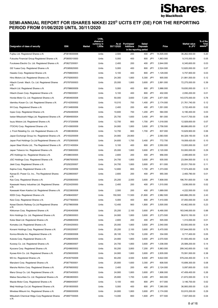

| Designation of class of security                         | <b>ISIN</b>                  | Market | Units.<br>shares or<br>currency in<br>1,000s | As at<br>30/11/2020 | Purchases/<br>Additions | Sales/<br><b>Disposals</b><br>in the reporting period |            | Price      | Market value<br>in JPY         | % of the<br>fund<br><sup>(2</sup> assets |
|----------------------------------------------------------|------------------------------|--------|----------------------------------------------|---------------------|-------------------------|-------------------------------------------------------|------------|------------|--------------------------------|------------------------------------------|
| Fujitsu Ltd. Registered Shares o.N.                      | JP3818000006                 |        | Units                                        | 2,500               | 200                     | 400                                                   | JPY        | 14,505.000 | 36,262,500.00                  | 0.20                                     |
| Fukuoka Financial Group Registered Shares o.N.           | JP3805010000                 |        | Units                                        | 5,000               | 400                     | 800                                                   | JPY        | 1,863.000  | 9,315,000.00                   | 0.05                                     |
| Furukawa Electric Co. Ltd. Registered Shares o.N.        | JP3827200001                 |        | Units                                        | 2,400               | 200                     | 400                                                   | JPY        | 2,644.000  | 6,345,600.00                   | 0.03                                     |
| GS Yuasa Corp. Registered Shares o.N.                    | JP3385820000                 |        | Units                                        | 5,000               | 400                     | 800                                                   | JPY        | 2,524.000  | 12,620,000.00                  | 0.07                                     |
| Haseko Corp. Registered Shares o.N.                      | JP3768600003                 |        | Units                                        | 5,100               | 400                     | 800                                                   | <b>JPY</b> | 1,129.000  | 5,757,900.00                   | 0.03                                     |
| Hino Motors Ltd. Registered Shares o.N.                  | JP3792600003                 |        | Units                                        | 24,300              | 1,800                   | 5,300                                                 | JPY        | 905.000    | 21,991,500.00                  | 0.12                                     |
| Hitachi Constr. Mach. Co. Ltd. Registered Shares         | JP3787000003                 |        | Units                                        | 25,000              | 1,800                   | 3,600                                                 | JPY        | 2,891.000  | 72,275,000.00                  | 0.39                                     |
| 0.N.<br>Hitachi Ltd. Registered Shares o.N.              | JP3788600009                 |        | Units                                        | 5,000               | 400                     | 800                                                   | JPY        | 3,966.000  | 19,830,000.00                  | 0.11                                     |
| Hitachi Zosen Corp. Registered Shares o.N.               | JP3789000001                 |        | Units                                        | 5,100               | 400                     | 800                                                   | JPY        | 402.000    | 2,050,200.00                   | 0.01                                     |
| Honda Motor Co. Ltd. Registered Shares o.N.              | JP3854600008                 |        | Units                                        | 50,000              | 3,600                   | 7,200                                                 | JPY        | 2,871.500  | 143,575,000.00                 | 0.78                                     |
| Idemitsu Kosan Co. Ltd. Registered Shares o.N.           | JP3142500002                 |        | Units                                        | 10,010              | 700                     | 1,400                                                 | JPY        | 2,174.000  | 21,761,740.00                  | 0.12                                     |
| IHI Corp. Registered Shares o.N.                         | JP3134800006                 |        | Units                                        | 2,400               | 200                     | 400                                                   | JPY        | 1,551.000  | 3,722,400.00                   | 0.02                                     |
| Inpex Corp. Registered Shares o.N.                       | JP3294460005                 |        | Units                                        | 10,600              | 700                     | 1,200                                                 | JPY        | 584.000    | 6,190,400.00                   | 0.03                                     |
| Isetan Mitsukoshi HIdgs.Ltd. Registered Shares o.N.      | JP3894900004                 |        | Units                                        | 25,700              | 1,600                   | 3,400                                                 | JPY        | 561.000    | 14,417,700.00                  | 0.08                                     |
| Isuzu Motors Ltd. Registered Shares o.N.                 | JP3137200006                 |        | Units                                        | 12,700              | 800                     | 1,700                                                 | JPY        | 1,018.000  | 12,928,600.00                  | 0.07                                     |
| ITOCHU Corp. Registered Shares o.N.                      | JP3143600009                 |        | Units                                        | 24,900              | 1,800                   | 3,600                                                 | JPY        | 2,758.500  | 68,686,650.00                  | 0.37                                     |
| J. Front Retailing Co. Ltd. Registered Shares o.N.       | JP3386380004                 |        | Units                                        | 12,700              | 800                     | 1,700                                                 | JPY        | 837.000    | 10,629,900.00                  | 0.06                                     |
| Japan Exchange Group Inc. Registered Shares o.N.         | JP3183200009                 |        | Units                                        | 24,900              | 24,900                  |                                                       | - JPY      | 2,583.500  | 64,329,150.00                  | 0.35                                     |
| Japan Post Holdings Co. Ltd Registered Shares o.N.       | JP3752900005                 |        | Units                                        | 24,600              | 1,700                   | 3,400                                                 | JPY        | 772.700    | 19,008,420.00                  | 0.10                                     |
| Japan Steel Works Ltd., The Registered Shares o.N.       | JP3721400004                 |        | Units                                        | 5,100               | 400                     | 800                                                   | JPY        | 2,550.000  | 13,005,000.00                  | 0.07                                     |
| Japan Tobacco Inc. Registered Shares o.N.                | JP3726800000                 |        | Units                                        | 25,000              | 1,800                   | 3,600                                                 | JPY        | 2,120.000  | 53,000,000.00                  | 0.29                                     |
| JFE Holdings Inc. Registered Shares o.N.                 | JP3386030005                 |        | Units                                        | 2,600               | 200                     | 400                                                   | JPY        | 956.000    | 2,485,600.00                   | 0.01                                     |
| JGC Holdings Corp. Registered Shares o.N.                | JP3667600005                 |        | Units                                        | 24,700              | 1,800                   | 3,600                                                 | JPY        | 935.000    | 23,094,500.00                  | 0.12                                     |
| Jtekt Corp. Registered Shares o.N.                       | JP3292200007                 |        | Units                                        | 24,700              | 1,800                   | 3,600                                                 | JPY        | 811.000    | 20,031,700.00                  | 0.11                                     |
| Kajima Corp. Registered Shares o.N.                      | JP3210200006                 |        | Units                                        | 12,800              | 800                     | 1,700                                                 | JPY        | 1,373.000  | 17,574,400.00                  | 0.09                                     |
| Kansai El. Power Co. Inc., The Registered Shares         | JP3228600007                 |        | Units                                        | 2,600               | 200                     | 400                                                   | <b>JPY</b> | 955.300    | 2,483,780.00                   | 0.01                                     |
| 0.N.                                                     |                              |        |                                              |                     |                         |                                                       |            | 7.808.000  |                                |                                          |
| Kao Corp. Registered Shares o.N.                         | JP3205800000<br>JP3224200000 |        | Units<br>Units                               | 25,200<br>2,400     | 2,000<br>200            | 3,600<br>400                                          | JPY<br>JPY | 1.515.000  | 196,761,600.00<br>3,636,000.00 | 1.06<br>0.02                             |
| Kawasaki Heavy Industries Ltd. Registered Shares<br>0.N. |                              |        |                                              |                     |                         |                                                       |            |            |                                |                                          |
| Kawasaki Kisen Kaisha Ltd. Registered Shares o.N.        | JP3223800008                 |        | Units                                        | 2,500               | 200                     | 400                                                   | JPY        | 1,689.000  | 4,222,500.00                   | 0.02                                     |
| KDDI Corp. Registered Shares o.N.                        | JP3496400007                 |        | Units                                        | 150,500             | 11,500                  | 21,800                                                | JPY        | 2,982.500  | 448,866,250.00                 | 2.43                                     |
| Keio Corp. Registered Shares o.N.                        | JP3277800003                 |        | Units                                        | 5,000               | 400                     | 800                                                   | JPY        | 7,410.000  | 37,050,000.00                  | 0.20                                     |
| Keisei Electric Railway Co.Ltd Registered Shares<br>0.N. | JP3278600006                 |        | Units                                        | 12,400              | 900                     | 1,800                                                 | JPY        | 3,505.000  | 43,462,000.00                  | 0.23                                     |
| Kikkoman Corp. Registered Shares o.N.                    | JP3240400006                 |        | Units                                        | 25,200              | 2,100                   | 3,600                                                 | JPY        | 6,490.000  | 163,548,000.00                 | 0.88                                     |
| Kirin Holdings Co. Ltd. Registered Shares o.N.           | JP3258000003                 |        | Units                                        | 24,900              | 1,800                   | 3,600                                                 | JPY        | 2,273.500  | 56,610,150.00                  | 0.31                                     |
| Kobe Steel Ltd. Registered Shares o.N.                   | JP3289800009                 |        | Units                                        | 2,600               | 200                     | 400                                                   | <b>JPY</b> | 505.000    | 1,313,000.00                   | 0.01                                     |
| Komatsu Ltd. Registered Shares o.N.                      | JP3304200003                 |        | Units                                        | 25,000              | 1,800                   | 3,600                                                 | JPY        | 2,540.000  | 63,500,000.00                  | 0.34                                     |
| Konami Holdings Corp. Registered Shares o.N.             | JP3300200007                 |        | Units                                        | 25,200              | 2,100                   | 3,600                                                 | JPY        | 5,470.000  | 137,844,000.00                 | 0.75                                     |
| Konica Minolta Inc. Registered Shares o.N.               | JP3300600008                 |        | Units                                        | 26,100              | 1,700                   | 3,200                                                 | JPY        | 334.000    | 8,717,400.00                   | 0.05                                     |
| Kubota Corp. Registered Shares o.N.                      | JP3266400005                 |        | Units                                        | 24,900              | 1,800                   | 3,600                                                 | JPY        | 2,070.500  | 51,555,450.00                  | 0.28                                     |
| Kuraray Co. Ltd. Registered Shares o.N.                  | JP3269600007                 |        | Units                                        | 24,700              | 1,800                   | 3,600                                                 | JPY        | 1,036.000  | 25,589,200.00                  | 0.14                                     |
| Kyocera Corp. Registered Shares o.N.                     | JP3249600002                 |        | Units                                        | 50,200              | 3,800                   | 7,200                                                 | JPY        | 5,963.000  | 299,342,600.00                 | 1.62                                     |
| Kyowa Kirin Co. Ltd. Registered Shares o.N.              | JP3256000005                 |        | Units                                        | 24,900              | 1,800                   | 3,600                                                 | JPY        | 2,835.000  | 70,591,500.00                  | 0.38                                     |
| M3 Inc. Registered Shares o.N.                           | JP3435750009                 |        | Units                                        | 60,200              | 4,500                   | 8,600                                                 | JPY        | 9,622.000  | 579,244,400.00                 | 3.13                                     |
| Marubeni Corp. Registered Shares o.N.                    | JP3877600001                 |        | Units                                        | 25,800              | 1,600                   | 3,300                                                 | JPY        | 608.500    | 15,699,300.00                  | 0.08                                     |
| Maruha Nichiro Corp. Registered Shares o.N.              | JP3876600002                 |        | Units                                        | 2,400               | 200                     | 400                                                   | JPY        | 2,124.000  | 5,097,600.00                   | 0.03                                     |
| Marui Group Co. Ltd. Registered Shares o.N.              | JP3870400003                 |        | Units                                        | 24,900              | 1,800                   | 3,600                                                 | JPY        | 1,906.000  | 47,459,400.00                  | 0.26                                     |
| Matsui Securities Co. Ltd. Registered Shares o.N.        | JP3863800003                 |        | Units                                        | 25,800              | 1,700                   | 3,400                                                 | JPY        | 840.000    | 21,672,000.00                  | 0.12                                     |
| Mazda Motor Corp. Registered Shares o.N.                 | JP3868400007                 |        | Units                                        | 5,100               | 400                     | 800                                                   | JPY        | 617.000    | 3,146,700.00                   | 0.02                                     |
| Meiji Holdings Co.Ltd. Registered Shares o.N.            | JP3918000005                 |        | Units                                        | 5,000               | 400                     | 800                                                   | JPY        | 7,380.000  | 36,900,000.00                  | 0.20                                     |
| Minebea Mitsumi Inc. Registered Shares o.N.              | JP3906000009                 |        | Units                                        | 24,800              | 1,800                   | 3,600                                                 | JPY        | 2,174.000  | 53,915,200.00                  | 0.29                                     |
| Mitsubishi Chemical HIdgs Corp Registered Shares<br>0.N. | JP3897700005                 |        | Units                                        | 13,000              | 800                     | 1,600 JPY                                             |            | 577.500    | 7,507,500.00                   | 0.04                                     |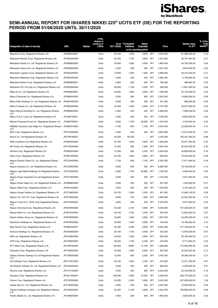

| Designation of class of security                                 | <b>ISIN</b>  | Market | Units,<br>shares or<br>currency in<br>1,000s | As at<br>30/11/2020 | Purchases/<br><b>Additions</b> | Sales/<br><b>Disposals</b><br>in the reporting period |         | Price     | Market value<br>in JPY | % of the<br>fund<br><sup>(2</sup> assets |
|------------------------------------------------------------------|--------------|--------|----------------------------------------------|---------------------|--------------------------------|-------------------------------------------------------|---------|-----------|------------------------|------------------------------------------|
| Mitsubishi Corp. Registered Shares o.N.                          | JP3898400001 |        | Units                                        | 25,100              | 1,800                          | 3,600                                                 | JPY     | 2,433.000 | 61,068,300.00          | 0.33                                     |
| Mitsubishi Electric Corp. Registered Shares o.N.                 | JP3902400005 |        | Units                                        | 25,300              | 1,700                          | 3,600                                                 | JPY     | 1,533.500 | 38,797,550.00          | 0.21                                     |
| Mitsubishi Estate Co. Ltd. Registered Shares o.N.                | JP3899600005 |        | Units                                        | 24,800              | 1,800                          | 3,600                                                 | JPY     | 1,804.000 | 44,739,200.00          | 0.24                                     |
| Mitsubishi Heavy Ind. Ltd. Registered Shares o.N.                | JP3900000005 |        | Units                                        | 2,400               | 200                            | 400                                                   | JPY     | 2,351.500 | 5,643,600.00           | 0.03                                     |
| Mitsubishi Logistics Corp. Registered Shares o.N.                | JP3902000003 |        | Units                                        | 12,800              | 1,400                          | 1,800                                                 | JPY     | 2,990.000 | 38,272,000.00          | 0.21                                     |
| Mitsubishi Materials Corp. Registered Shares o.N.                | JP3903000002 |        | Units                                        | 2,400               | 200                            | 400                                                   | JPY     | 1,982.000 | 4,756,800.00           | 0.03                                     |
| Mitsubishi Motors Corp. Registered Shares o.N.                   | JP3899800001 |        | Units                                        | 2,600               | 200                            | 400                                                   | JPY     | 188.000   | 488,800.00             | 0.00                                     |
| Mitsubishi UFJ Finl Grp Inc. Registered Shares o.N.              | JP3902900004 |        | Units                                        | 26,000              | 1,700                          | 3,200                                                 | JPY     | 448.500   | 11,661,000.00          | 0.06                                     |
| Mitsui & Co. Ltd. Registered Shares o.N.                         | JP3893600001 |        | Units                                        | 24,800              | 1,800                          | 3,600                                                 | JPY     | 1,780.000 | 44,144,000.00          | 0.24                                     |
| Mitsui Chemicals Inc. Registered Shares o.N.                     | JP3888300005 |        | Units                                        | 5,000               | 400                            | 800                                                   | JPY     | 2,933.000 | 14,665,000.00          | 0.08                                     |
| Mitsui E&S Holdings Co. Ltd. Registered Shares o.N.              | JP3891600003 |        | Units                                        | 2,600               | 200                            | 400                                                   | JPY     | 341.000   | 886,600.00             | 0.00                                     |
| Mitsui Fudosan Co. Ltd. Registered Shares o.N.                   | JP3893200000 |        | Units                                        | 25,000              | 1,800                          | 3,600                                                 | JPY     | 2,181.500 | 54,537,500.00          | 0.29                                     |
| Mitsui Mng & Smelting Co. Ltd. Registered Shares                 | JP3888400003 |        | Units                                        | 2,400               | 200                            | 400                                                   | JPY     | 2,958.000 | 7,099,200.00           | 0.04                                     |
| 0.N.<br>Mitsui O.S.K. Lines Ltd. Registered Shares o.N.          | JP3362700001 |        | Units                                        | 2,500               | 200                            | 400                                                   | JPY     | 2,728.000 | 6,820,000.00           | 0.04                                     |
| Mizuho Financial Group Inc. Registered Shares o.N.               | JP3885780001 |        | Units                                        | 2,620               | 1,700                          | 26,980                                                | JPY     | 1,327.500 | 3,478,050.00           | 0.02                                     |
| MS&AD Insurance Grp HIdgs Inc. Registered Shares                 | JP3890310000 |        | Units                                        | 7,700               | 600                            | 1,100                                                 | JPY     | 3,035.000 | 23,369,500.00          | 0.13                                     |
| 0.N.<br>NEC Corp. Registered Shares o.N.                         | JP3733000008 |        | Units                                        | 2,400               | 200                            | 400                                                   | JPY     | 5,630.000 | 13,512,000.00          | 0.07                                     |
| Nexon Co. Ltd Registered Shares o.N.                             | JP3758190007 |        | Units                                        | 50,200              | 50,200                         |                                                       | JPY     | 3,155.000 | 158,381,000.00         | 0.86                                     |
| NGK Insulators Ltd. Registered Shares o.N.                       | JP3695200000 |        | Units                                        | 24,700              | 1,800                          | 3,600                                                 | JPY     | 1,659.000 | 40,977,300.00          | 0.22                                     |
| NH Foods Ltd. Registered Shares o.N.                             | JP3743000006 |        | Units                                        | 12,400              | 900                            | 1,800                                                 | JPY     | 4,455.000 | 55,242,000.00          | 0.30                                     |
| Nichirei Corp. Registered Shares o.N.                            | JP3665200006 |        | Units                                        | 12,300              | 900                            | 2,300                                                 | JPY     | 2,834.000 | 34,858,200.00          | 0.19                                     |
| Nikon Corp. Registered Shares o.N.                               | JP3657400002 |        | Units                                        | 24,700              | 1,800                          | 3,600                                                 | JPY     | 649.000   | 16,030,300.00          | 0.09                                     |
| Nippon Electric Glass Co. Ltd. Registered Shares<br>0.N.         | JP3733400000 |        | Units                                        | 7,700               | 600                            | 1,100                                                 | JPY     | 2,282.000 | 17,571,400.00          | 0.09                                     |
| Nippon Express Co. Ltd. Registered Shares o.N.                   | JP3729400006 |        | Units                                        | 2,600               | 400                            | 400                                                   | JPY     | 6,980.000 | 18,148,000.00          | 0.10                                     |
| Nippon Light Metal Holdings Co Registered Shares                 | JP3700200003 |        | Units                                        | 2,620               | 1,700                          | 26,980                                                | JPY     | 1,792.000 | 4,695,040.00           | 0.03                                     |
| 0.N.<br>Nippon Paper Industries Co.Ltd Registered Shares<br>0.N. | JP3721600009 |        | Units                                        | 2,500               | 200                            | 400                                                   | JPY     | 1,125.000 | 2,812,500.00           | 0.02                                     |
| Nippon Sheet Glass Co. Ltd. Registered Shares o.N.               | JP3686800008 |        | Units                                        | 2,600               | 200                            | 400                                                   | JPY     | 401.000   | 1,042,600.00           | 0.01                                     |
| Nippon Steel Corp. Registered Shares o.N.                        | JP3381000003 |        | Units                                        | 2,500               | 200                            | 400                                                   | JPY     | 1,276.500 | 3,191,250.00           | 0.02                                     |
| Nippon Suisan Kaisha Ltd. Registered Shares o.N.                 | JP3718800000 |        | Units                                        | 26,100              | 1,800                          | 3,200                                                 | JPY     | 401.000   | 10,466,100.00          | 0.06                                     |
| Nippon Tel. and Tel. Corp. Registered Shares o.N.                | JP3735400008 |        | Units                                        | 9,900               | 700                            | 1,900                                                 | JPY     | 2,465.000 | 24,403,500.00          | 0.13                                     |
| Nippon Yusen K.K. (NYK Line) Registered Shares<br>0.N.           | JP3753000003 |        | Units                                        | 2,600               | 200                            | 400                                                   | JPY     | 2,276.000 | 5,917,600.00           | 0.03                                     |
| Nissan Chemical Corp. Registered Shares o.N.                     | JP3670800006 |        | Units                                        | 25,200              | 2,100                          | 3,600                                                 | JPY     | 6,240.000 | 157,248,000.00         | 0.85                                     |
| Nissan Motor Co. Ltd. Registered Shares o.N.                     | JP3672400003 |        | Units                                        | 26,100              | 1,700                          | 3,200                                                 | JPY     | 492.500   | 12,854,250.00          | 0.07                                     |
| Nisshin Seifun Group Inc. Registered Shares o.N.                 | JP3676800000 |        | Units                                        | 24,900              | 1,800                          | 3,600                                                 | JPY     | 1,697.000 | 42,255,300.00          | 0.23                                     |
| Nisshinbo Holdings Inc. Registered Shares o.N.                   | JP3678000005 |        | Units                                        | 25,900              | 1,900                          | 3,600                                                 | JPY     | 740.000   | 19,166,000.00          | 0.10                                     |
| Nitto Denko Corp. Registered Shares o.N.                         | JP3684000007 |        | Units                                        | 25,200              | 2,000                          | 3,600                                                 | JPY     | 8,640.000 | 217,728,000.00         | 1.18                                     |
| Nomura Holdings Inc. Registered Shares o.N.                      | JP3762600009 |        | Units                                        | 26,100              | 1,700                          | 3,400                                                 | JPY     | 524.000   | 13,676,400.00          | 0.07                                     |
| NSK Ltd. Registered Shares o.N.                                  | JP3720800006 |        | Units                                        | 24,500              | 1,800                          | 3,600                                                 | JPY     | 845.000   | 20,702,500.00          | 0.11                                     |
| NTN Corp. Registered Shares o.N.                                 | JP3165600002 |        | Units                                        | 26,200              | 1,700                          | 3,400                                                 | JPY     | 218.000   | 5,711,600.00           | 0.03                                     |
| NTT Data Corp. Registered Shares o.N.                            | JP3165700000 |        | Units                                        | 125,000             | 8,800                          | 17,700                                                | JPY     | 1,388.000 | 173,500,000.00         | 0.94                                     |
| Obayashi Corp. Registered Shares o.N.                            | JP3190000004 |        | Units                                        | 24,600              | 1,800                          | 3,600                                                 | JPY     | 920.000   | 22,632,000.00          | 0.12                                     |
| Odakyu Electric Railway Co.Ltd Registered Shares<br>0.N.         | JP3196000008 |        | Units                                        | 12,400              | 900                            | 2,300                                                 | JPY     | 3,165.000 | 39,246,000.00          | 0.21                                     |
| Oji Holdings Corp. Registered Shares o.N.                        | JP3174410005 |        | Units                                        | 26,100              | 1,800                          | 3,300                                                 | JPY     | 474.000   | 12,371,400.00          | 0.07                                     |
| Oki Electric Industry Co. Ltd. Registered Shares o.N.            | JP3194000000 |        | Units                                        | 2,600               | 200                            | 400                                                   | JPY     | 906.000   | 2,355,600.00           | 0.01                                     |
| Okuma Corp. Registered Shares o.N.                               | JP3172100004 |        | Units                                        | 5,000               | 400                            | 800                                                   | JPY     | 6,020.000 | 30,100,000.00          | 0.16                                     |
| Olympus Corp. Registered Shares o.N.                             | JP3201200007 |        | Units                                        | 100,500             | 7,600                          | 14,200                                                | JPY     | 2,256.500 | 226,778,250.00         | 1.23                                     |
| Omron Corp. Registered Shares o.N.                               | JP3197800000 |        | Units                                        | 25,200              | 2,000                          | 3,600                                                 | JPY     | 9,430.000 | 237,636,000.00         | 1.28                                     |
| Osaka Gas Co. Ltd. Registered Shares o.N.                        | JP3180400008 |        | Units                                        | 5,000               | 400                            | 800                                                   | JPY     | 2,004.000 | 10,020,000.00          | 0.05                                     |
| Otsuka Holdings Company Ltd. Registered Shares<br>0.N.           | JP3188220002 |        | Units                                        | 25,200              | 2,100                          | 3,600                                                 | JPY     | 4,242.000 | 106,898,400.00         | 0.58                                     |
| Pacific Metals Co. Ltd. Registered Shares o.N.                   | JP3448000004 |        | Units                                        | 2,500               | 200                            |                                                       | 400 JPY | 1,850.000 | 4,625,000.00           | 0.02                                     |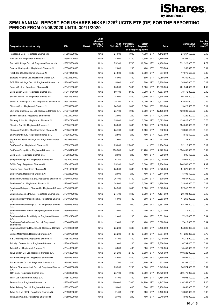

| Designation of class of security                                                   | <b>ISIN</b>                  | Market | Units,<br>shares or<br>currency in<br>1,000s | As at<br>30/11/2020 | Purchases/<br>Additions | Sales/<br><b>Disposals</b><br>in the reporting period |                   | Price                  | Market value<br>in JPY          | % of the<br>fund<br><sup>(2</sup> assets |
|------------------------------------------------------------------------------------|------------------------------|--------|----------------------------------------------|---------------------|-------------------------|-------------------------------------------------------|-------------------|------------------------|---------------------------------|------------------------------------------|
| Panasonic Corp. Registered Shares o.N.                                             | JP3866800000                 |        | Units                                        | 24,600              | 1,900                   | 4,900                                                 | JPY               | 1,112.500              | 27,367,500.00                   | 0.15                                     |
| Rakuten Inc. Registered Shares o.N.                                                | JP3967200001                 |        | Units                                        | 24,900              | 1,700                   | 3,500                                                 | JPY               | 1,169.000              | 29,108,100.00                   | 0.16                                     |
| Recruit Holdings Co. Ltd. Registered Shares o.N.                                   | JP3970300004                 |        | Units                                        | 75,300              | 5,700                   | 10,800                                                | JPY               | 4,400.000              | 331,320,000.00                  | 1.79                                     |
| Resona Holdings Inc. Registered Shares o.N.                                        | JP3500610005                 |        | Units                                        | 2,600               | 200                     | 400                                                   | JPY               | 365.700                | 950,820.00                      | 0.01                                     |
| Ricoh Co. Ltd. Registered Shares o.N.                                              | JP3973400009                 |        | Units                                        | 24,500              | 1,800                   | 3,600                                                 | JPY               | 697.000                | 17,076,500.00                   | 0.09                                     |
| Sapporo Holdings Ltd. Registered Shares o.N.                                       | JP3320800000                 |        | Units                                        | 5,000               | 400                     | 800                                                   | JPY               | 1,950.000              | 9,750,000.00                    | 0.05                                     |
| SCREEN Holdings Co. Ltd. Registered Shares o.N.                                    | JP3494600004                 |        | Units                                        | 5,000               | 400                     | 800                                                   | JPY               | 6,960.000              | 34,800,000.00                   | 0.19                                     |
| Secom Co. Ltd. Registered Shares o.N.                                              | JP3421800008                 |        | Units                                        | 25,200              | 2,000                   | 3,600                                                 | JPY               | 10,395.000             | 261,954,000.00                  | 1.42                                     |
| Seiko Epson Corp. Registered Shares o.N.                                           | JP3414750004                 |        | Units                                        | 50,400              | 3,600                   | 7,200                                                 | JPY               | 1,557.000              | 78,472,800.00                   | 0.42                                     |
| Sekisui House Ltd. Registered Shares o.N.                                          | JP3420600003                 |        | Units                                        | 24,900              | 1,800                   | 3,600                                                 | JPY               | 1,878.000              | 46,762,200.00                   | 0.25                                     |
| Seven & I Holdings Co. Ltd. Registered Shares o.N.                                 | JP3422950000                 |        | Units                                        | 25,200              | 2,200                   | 4,000                                                 | JPY               | 3,313.000              | 83,487,600.00                   | 0.45                                     |
| Shimizu Corp. Registered Shares o.N.                                               | JP3358800005                 |        | Units                                        | 24,500              | 1,800                   | 3,600                                                 | JPY               | 793.000                | 19,428,500.00                   | 0.11                                     |
| Shin-Etsu Chemical Co. Ltd. Registered Shares o.N.                                 | JP3371200001                 |        | Units                                        | 25,100              | 1,900                   | 3,600                                                 | JPY               | 17,135.000             | 430,088,500.00                  | 2.32                                     |
| Shinsei Bank Ltd. Registered Shares o.N.                                           | JP3729000004                 |        | Units                                        | 2,600               | 200                     | 400                                                   | JPY               | 1,242.000              | 3,229,200.00                    | 0.02                                     |
| Shionogi & Co. Ltd. Registered Shares o.N.                                         | JP3347200002                 |        | Units                                        | 25,000              | 1,800                   | 3,600                                                 | JPY               | 5,593.000              | 139,825,000.00                  | 0.76                                     |
| Shiseido Co. Ltd. Registered Shares o.N.                                           | JP3351600006                 |        | Units                                        | 25,000              | 1,800                   | 3,600                                                 | JPY               | 7,360.000              | 184,000,000.00                  | 0.99                                     |
| Shizuoka Bank Ltd., The Registered Shares o.N.                                     | JP3351200005                 |        | Units                                        | 25,700              | 1,600                   | 3,400                                                 | JPY               | 742.000                | 19,069,400.00                   | 0.10                                     |
| Showa Denko K.K. Registered Shares o.N.                                            | JP3368000000                 |        | Units                                        | 2,500               | 200                     | 400                                                   | JPY               | 1,937.000              | 4,842,500.00                    | 0.03                                     |
| Sky Perfect JSAT Holdings Inc. Registered Shares                                   | JP3396350005                 |        | Units                                        | 2,600               | 200                     | 400                                                   | JPY               | 473.000                | 1,229,800.00                    | 0.01                                     |
| 0.N.<br>SoftBank Corp. Registered Shares o.N.                                      | JP3732000009                 |        | Units                                        | 25,000              | 25,000                  |                                                       | JPY               | 1,284.500              | 32,112,500.00                   | 0.17                                     |
| SoftBank Group Corp. Registered Shares o.N.                                        | JP3436100006                 |        | Units                                        | 150,500             | 11,400                  | 21,700                                                | JPY               | 7,272.000              | 1,094,436,000.00                | 5.92                                     |
| Sojitz Corp. Registered Shares o.N.                                                | JP3663900003                 |        | Units                                        | 2,600               | 200                     | 400                                                   | JPY               | 229.000                | 595,400.00                      | 0.00                                     |
| Sompo Holdings Inc. Registered Shares o.N.                                         | JP3165000005                 |        | Units                                        | 6,250               | 400                     | 900                                                   | JPY               | 4,010.000              | 25,062,500.00                   | 0.14                                     |
| SONY Corp. Registered Shares o.N.                                                  | JP3435000009                 |        | Units                                        | 25,200              | 2,000                   | 3,600                                                 | JPY               | 9,704.000              | 244,540,800.00                  | 1.32                                     |
| Subaru Corp. Registered Shares o.N.                                                | JP3814800003                 |        | Units                                        | 25,000              | 1,800                   | 3,600                                                 | JPY               | 2,073.000              | 51,825,000.00                   | 0.28                                     |
| Sumco Corp. Registered Shares o.N.                                                 | JP3322930003                 |        | Units                                        | 2,600               | 200                     | 400                                                   | JPY               | 2,114.000              | 5,496,400.00                    | 0.03                                     |
| Sumitomo Chemical Co. Ltd. Registered Shares o.N. JP3401400001                     |                              |        | Units                                        | 26,100              | 1,700                   | 3,200                                                 | JPY               | 370.000                | 9,657,000.00                    | 0.05                                     |
| Sumitomo Corp. Registered Shares o.N.                                              | JP3404600003                 |        | Units                                        | 24,900              | 1,800                   | 3,600                                                 | JPY               | 1,286.500              | 32,033,850.00                   | 0.17                                     |
| Sumitomo Dainippon Pharma Co. Registered Shares JP3495000006                       |                              |        | Units                                        | 24,900              | 1,800                   | 3,600                                                 | JPY               | 1,323.000              | 32,942,700.00                   | 0.18                                     |
| 0.N.<br>Sumitomo Electric Ind. Ltd. Registered Shares o.N.                         | JP3407400005                 |        | Units                                        | 24,700              | 1,800                   | 3,600                                                 | JPY               | 1.194.000              | 29,491,800.00                   | 0.16                                     |
| Sumitomo Heavy Industries Ltd. Registered Shares                                   | JP3405400007                 |        | Units                                        | 5,000               | 400                     | 800                                                   | JPY               | 2,253.000              | 11,265,000.00                   | 0.06                                     |
| 0.N.<br>Sumitomo Metal Mining Co. Ltd. Registered Shares                           | JP3402600005                 |        | Units                                        | 12,400              | 900                     | 1,800                                                 | JPY               | 3,887.000              | 48,198,800.00                   | 0.26                                     |
| 0.N.<br>Sumitomo Mitsui Financ. Group Registered Shares                            | JP3890350006                 |        | Units                                        | 2,400               | 200                     | 400                                                   | JPY               | 3,032.000              | 7,276,800.00                    | 0.04                                     |
| 0.N.<br>Sumitomo Mitsui Trust Hldg.Inc Registered Shares                           | JP3892100003                 |        | Units                                        | 2,400               | 200                     | 400                                                   | <b>JPY</b>        | 3,051.000              | 7,322,400.00                    | 0.04                                     |
| 0.N.<br>Sumitomo Osaka Cement Co. Ltd. Registered                                  | JP3400900001                 |        | Units                                        | 2,400               | 200                     | 400                                                   | <b>JPY</b>        | 3,090.000              | 7,416,000.00                    | 0.04                                     |
| Shares o.N.<br>Sumitomo Realty & Dev. Co.Ltd. Registered Shares                    | JP3409000001                 |        | Units                                        | 25,200              | 1,800                   | 3,600                                                 | JPY               | 3,405.000              | 85,806,000.00                   | 0.46                                     |
| 0.N.                                                                               |                              |        |                                              |                     |                         |                                                       |                   |                        |                                 |                                          |
| Suzuki Motor Corp. Registered Shares o.N.                                          | JP3397200001                 |        | Units                                        | 25,200              | 2,100                   | 3,600                                                 | JPY               | 5,604.000              | 141,220,800.00                  | 0.76                                     |
| T & D Holdings Inc. Registered Shares o.N.                                         | JP3539220008                 |        | Units                                        | 5,100               | 400                     | 800                                                   | JPY               | 1,219.000              | 6,216,900.00                    | 0.03                                     |
| Taiheiyo Cement Corp. Registered Shares o.N.                                       | JP3449020001<br>JP3443600006 |        | Units                                        | 2,400               | 200<br>400              | 400<br>800                                            | JPY               | 2,806.000              | 6,734,400.00                    | 0.04<br>0.10                             |
| Taisei Corp. Registered Shares o.N.<br>Taiyo Yuden Co. Ltd. Registered Shares o.N. | JP3452000007                 |        | Units<br>Units                               | 5,000<br>25,200     | 2,100                   | 3,600                                                 | JPY<br><b>JPY</b> | 3,690.000<br>4,735.000 | 18,450,000.00<br>119,322,000.00 | 0.64                                     |
| Takara Holdings Inc. Registered Shares o.N.                                        | JP3459600007                 |        | Units                                        | 24,600              | 1,800                   | 3,600                                                 | JPY               | 1,199.000              | 29,495,400.00                   | 0.16                                     |
| Takashimaya Co. Ltd. Registered Shares o.N.                                        | JP3456000003                 |        | Units                                        | 12,700              | 800                     | 1,700                                                 | JPY               | 803.000                | 10,198,100.00                   | 0.06                                     |
| Takeda Pharmaceutical Co. Ltd. Registered Shares                                   | JP3463000004                 |        | Units                                        | 25,200              | 2,200                   | 4,000                                                 | JPY               | 3,745.000              | 94,374,000.00                   | 0.51                                     |
| 0.N.                                                                               |                              |        |                                              |                     |                         |                                                       |                   |                        |                                 |                                          |
| TDK Corp. Registered Shares o.N.                                                   | JP3538800008                 |        | Units                                        | 25,100              | 1,900                   | 3,600                                                 | JPY               | 14,720.000             | 369,472,000.00                  | 2.00                                     |
| Teijin Ltd. Registered Shares o.N.<br>Terumo Corp. Registered Shares o.N.          | JP3544000007<br>JP3546800008 |        | Units<br>Units                               | 5,100<br>100,400    | 400<br>7,900            | 800<br>14,700                                         | JPY<br>JPY        | 1,784.000<br>4,147.000 | 9,098,400.00<br>416,358,800.00  | 0.05<br>2.25                             |
| Tobu Railway Co. Ltd. Registered Shares o.N.                                       | JP3597800006                 |        | Units                                        | 5,000               | 400                     | 800                                                   | JPY               | 3,130.000              | 15,650,000.00                   | 0.08                                     |
| Toho Co. Ltd. (9602) Registered Shares o.N.                                        | JP3598600009                 |        | Units                                        | 2,400               | 200                     | 400                                                   | <b>JPY</b>        | 4,420.000              | 10,608,000.00                   | 0.06                                     |
| Toho Zinc Co. Ltd. Registered Shares o.N.                                          | JP3599000001                 |        | Units                                        | 2,400               | 200                     | 400                                                   | JPY               | 2,040.000              | 4,896,000.00                    | 0.03                                     |
|                                                                                    |                              |        |                                              |                     |                         |                                                       |                   |                        |                                 |                                          |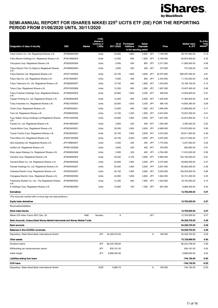

| Designation of class of security                                                                  | <b>ISIN</b>                  | Market     | Units,<br>shares or<br>currency in<br>1,000s | As at<br>30/11/2020 | Purchases/<br><b>Additions</b> | Sales/<br><b>Disposals</b><br>in the reporting period |            | Price                  | <b>Market value</b><br>in JPY  | % of the<br>fund<br><sup>(2</sup> assets |
|---------------------------------------------------------------------------------------------------|------------------------------|------------|----------------------------------------------|---------------------|--------------------------------|-------------------------------------------------------|------------|------------------------|--------------------------------|------------------------------------------|
| Tokai Carbon Co. Ltd. Registered Shares o.N.                                                      | JP3560800009                 |            | Units                                        | 24,600              | 1,800                          | 3,600                                                 | JPY        | 1,146.000              | 28,191,600.00                  | 0.15                                     |
| Tokio Marine Holdings Inc. Registered Shares o.N.                                                 | JP3910660004                 |            | Units                                        | 12,500              | 900                            | 1,800                                                 | JPY        | 5,190.000              | 64,875,000.00                  | 0.35                                     |
| Tokuyama Corp. Registered Shares o.N.                                                             | JP3625000009                 |            | Units                                        | 5,000               | 400                            | 800                                                   | JPY        | 2,217.000              | 11,085,000.00                  | 0.06                                     |
| Tokyo Electric Pwr Co.Hldg.Inc Registered Shares                                                  | JP3585800000                 |            | Units                                        | 2,600               | 200                            | 400                                                   | JPY        | 272.000                | 707,200.00                     | 0.00                                     |
| 0.N.<br>Tokyo Electron Ltd. Registered Shares o.N.                                                | JP3571400005                 |            | Units                                        | 25,100              | 1,900                          | 3,600                                                 | JPY        | 35,470.000             | 890,297,000.00                 | 4.81                                     |
| Tokyo Gas Co. Ltd. Registered Shares o.N.                                                         | JP3573000001                 |            | Units                                        | 5,000               | 400                            | 800                                                   | JPY        | 2,344.500              | 11,722,500.00                  | 0.06                                     |
| Tokyo Tatemono Co. Ltd. Registered Shares o.N.                                                    | JP3582600007                 |            | Units                                        | 12,700              | 900                            | 1,800                                                 | JPY        | 1,433.000              | 18,199,100.00                  | 0.10                                     |
| Tokyu Corp. Registered Shares o.N.                                                                | JP3574200006                 |            | Units                                        | 12,200              | 900                            | 1,800                                                 | JPY        | 1,267.000              | 15,457,400.00                  | 0.08                                     |
| Tokyu Fudosan Holdings Corp. Registered Shares                                                    | JP3569200003                 |            | Units                                        | 25,800              | 1,600                          | 3,300                                                 | JPY        | 506.000                | 13,054,800.00                  | 0.07                                     |
| 0.N.                                                                                              |                              |            |                                              |                     |                                |                                                       |            |                        |                                |                                          |
| Toppan Printing Co. Ltd. Registered Shares o.N.                                                   | JP3629000005                 |            | Units                                        | 12,200              | 900                            | 2,600                                                 | JPY        | 1,425.000              | 17,385,000.00                  | 0.09                                     |
| Toray Industries Inc. Registered Shares o.N.                                                      | JP3621000003                 |            | Units                                        | 25,800              | 1,600                          | 3,300                                                 | JPY        | 566.100                | 14,605,380.00                  | 0.08<br>0.11                             |
| Tosoh Corp. Registered Shares o.N.<br>Toto Ltd. Registered Shares o.N.                            | JP3595200001<br>JP3596200000 |            | Units<br>Units                               | 12,800<br>12,700    | 900<br>1,200                   | 1,800<br>1,800                                        | JPY<br>JPY | 1,646.000<br>5,910.000 | 21,068,800.00<br>75,057,000.00 | 0.41                                     |
| Toyo Seikan Group Holdings Ltd Registered Shares                                                  | JP3613400005                 |            | Units                                        | 24,800              | 1,800                          | 3,600                                                 | <b>JPY</b> | 1,007.000              | 24,973,600.00                  | 0.13                                     |
| 0.N.                                                                                              |                              |            |                                              |                     |                                |                                                       |            |                        |                                |                                          |
| Toyobo Co. Ltd. Registered Shares o.N.                                                            | JP3619800000                 |            | Units                                        | 2,600               | 200                            | 400                                                   | JPY        | 1,305.000              | 3,393,000.00                   | 0.02                                     |
| Toyota Motor Corp. Registered Shares o.N.                                                         | JP3633400001                 |            | Units                                        | 25,000              | 1,800                          | 3,600                                                 | JPY        | 6,999.000              | 174,975,000.00                 | 0.95                                     |
| Toyota Tsusho Corp. Registered Shares o.N.                                                        | JP3635000007                 |            | Units                                        | 25,100              | 1,800                          | 3,600                                                 | JPY        | 3,610.000              | 90,611,000.00                  | 0.49                                     |
| Trend Micro Inc. Registered Shares o.N.                                                           | JP3637300009                 |            | Units                                        | 25,100              | 2,000                          | 3,600                                                 | JPY        | 5,670.000              | 142,317,000.00                 | 0.77                                     |
| Ube Industries Ltd. Registered Shares o.N.                                                        | JP3158800007                 |            | Units                                        | 2,500               | 200                            | 400                                                   | JPY        | 1,775.000              | 4,437,500.00                   | 0.02                                     |
| Unitika Ltd. Registered Shares o.N.                                                               | JP3951200009                 |            | Units                                        | 2,600               | 200                            | 400                                                   | <b>JPY</b> | 378.000                | 982,800.00                     | 0.01                                     |
| West Japan Railway Co. Registered Shares o.N.                                                     | JP3659000008                 |            | Units                                        | 2,500               | 200                            | 400                                                   | JPY        | 4,764.000              | 11,910,000.00                  | 0.06                                     |
| Yamaha Corp. Registered Shares o.N.                                                               | JP3942600002                 |            | Units                                        | 25,200              | 2,100                          | 3,600                                                 | JPY        | 5,960.000              | 150,192,000.00                 | 0.81                                     |
| Yamaha Motor Co. Ltd. Registered Shares o.N.                                                      | JP3942800008                 |            | Units                                        | 24,800              | 1,800                          | 3,600                                                 | JPY        | 2,010.000              | 49,848,000.00                  | 0.27                                     |
| Yamato Holdings Co. Ltd. Registered Shares o.N.                                                   | JP3940000007                 |            | Units                                        | 25,000              | 1,800<br>1,800                 | 3,600                                                 | JPY<br>JPY | 2,637.000              | 65,925,000.00                  | 0.36<br>0.68                             |
| Yaskawa Electric Corp. Registered Shares o.N.                                                     | JP3932000007                 |            | Units                                        | 25,100              |                                | 3,600                                                 |            | 5,030.000              | 126,253,000.00                 | 0.25                                     |
| Yokogawa Electric Corp. Registered Shares o.N.<br>Yokohama Rubber Co. Ltd., The Registered Shares | JP3955000009<br>JP3955800002 |            | Units<br>Units                               | 24,800<br>12,300    | 1,800<br>900                   | 3,600<br>1,800                                        | JPY<br>JPY | 1,844.000<br>1,523.000 | 45,731,200.00<br>18,732,900.00 | 0.10                                     |
| 0.N.                                                                                              |                              |            |                                              |                     |                                |                                                       |            |                        |                                |                                          |
| Z Holdings Corp. Registered Shares o.N.                                                           | JP3933800009                 |            | Units                                        | 10,600              | 700                            | 1,300                                                 | JPY        | 657.000                | 6,964,200.00                   | 0.04                                     |
| Derivatives                                                                                       |                              |            |                                              |                     |                                |                                                       |            |                        | 12,705,000.00                  | 0.07                                     |
| (The amounts marked with a minus sign are sold positions.)                                        |                              |            |                                              |                     |                                |                                                       |            |                        |                                |                                          |
| <b>Equity index derivatives</b>                                                                   |                              |            |                                              |                     |                                |                                                       |            |                        | 12,705,000.00                  | 0.07                                     |
| Receivables/liabilities                                                                           |                              |            |                                              |                     |                                |                                                       |            |                        |                                |                                          |
| <b>Stock index futures</b>                                                                        |                              |            |                                              |                     |                                |                                                       |            |                        | 12,705,000.00                  | 0.07                                     |
| Nikkei 225 Index Future (NIY) Dez. 20                                                             |                              | <b>NAE</b> | Number                                       | 8                   |                                |                                                       | JPY        |                        | 12,705,000.00                  | 0.07                                     |
| Bank Accounts, Unsecuritised Money Market Instruments and Money Market Funds                      |                              |            |                                              |                     |                                |                                                       |            |                        | 54,329,703.00                  | 0.29                                     |
| <b>Bank accounts</b>                                                                              |                              |            |                                              |                     |                                |                                                       |            |                        | 54,329,703.00                  | 0.29                                     |
| Balances in Non-EU/EEA currencies<br>Depository: State Street Bank International GmbH             |                              |            | JPY                                          | 54,329,703.00       |                                |                                                       | $\%$       | 100.000                | 54,329,703.00<br>54,329,703.00 | 0.29<br>0.29                             |
| Other assets                                                                                      |                              |            |                                              |                     |                                |                                                       |            |                        |                                |                                          |
| Dividend claims                                                                                   |                              |            | JPY                                          | 66,233,708.00       |                                |                                                       |            |                        | 73,729,899.00<br>66,233,708.00 | 0.40<br>0.36                             |
| Withholding tax reimbursement claims                                                              |                              |            | JPY                                          | 830,191.00          |                                |                                                       |            |                        | 830,191.00                     | 0.00                                     |
| Initial margin                                                                                    |                              |            | JPY                                          | 6,666,000.00        |                                |                                                       |            |                        | 6,666,000.00                   | 0.04                                     |
| Liabilities arising from loans                                                                    |                              |            |                                              |                     |                                |                                                       |            |                        | -744,130.00                    | -0.00                                    |
| <b>EUR loans</b>                                                                                  |                              |            |                                              |                     |                                |                                                       |            |                        | -744,130.00                    | -0.00                                    |
| Depository: State Street Bank International GmbH                                                  |                              |            | <b>EUR</b>                                   | $-5,965.75$         |                                |                                                       | $\%$       | 100.000                | $-744, 130.00$                 | $-0.00$                                  |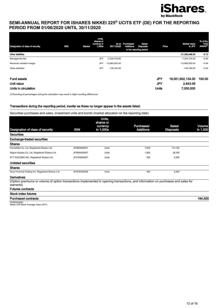

| Designation of class of security | <b>ISIN</b><br>Market | Units,<br>shares or<br>currency in<br>1,000s | As at<br>30/11/2020 | Purchases/<br><b>Additions</b> | Sales/<br><b>Disposals</b><br>in the reporting period | Price        | <b>Market value</b><br>in JPY | % of the<br>fund<br>assets <sup>2)</sup> |
|----------------------------------|-----------------------|----------------------------------------------|---------------------|--------------------------------|-------------------------------------------------------|--------------|-------------------------------|------------------------------------------|
| <b>Other liabilities</b>         |                       |                                              |                     |                                |                                                       |              | -21,335,488.00                | $-0.12$                                  |
| Management fee                   |                       | <b>JPY</b>                                   | $-7,234,724.00$     |                                |                                                       |              | $-7,234,724.00$               | $-0.04$                                  |
| Received variation margin        |                       | <b>JPY</b>                                   | $-13,965,000.00$    |                                |                                                       |              | $-13,965,000.00$              | $-0.08$                                  |
| Other liabilities                |                       | JPY                                          | $-135,764.00$       |                                |                                                       |              | $-135,764.00$                 | $-0.00$                                  |
|                                  |                       |                                              |                     |                                |                                                       |              |                               |                                          |
| <b>Fund assets</b>               |                       |                                              |                     |                                |                                                       | JPY          | 18,501,602,134.00             | 100.00                                   |
| Unit value                       |                       |                                              |                     |                                |                                                       | <b>JPY</b>   | 2,643.09                      |                                          |
| Units in circulation             |                       |                                              |                     |                                |                                                       | <b>Units</b> | 7,000,000                     |                                          |

2) Rounding of percentages during the calculation may result in slight rounding differences.

#### Transactions during the reporting period, insofar as these no longer appear in the assets listed:

Securities purchases and sales, investment units and bonds (market allocation on the reporting date)

|                                                                                                                                                |              | Units,                |                  |                  |          |
|------------------------------------------------------------------------------------------------------------------------------------------------|--------------|-----------------------|------------------|------------------|----------|
|                                                                                                                                                |              | shares or<br>currency | Purchases/       | Sales/           | Volume   |
| Designation of class of security                                                                                                               | <b>ISIN</b>  | in 1,000s             | <b>Additions</b> | <b>Disposals</b> | in 1,000 |
| <b>Securities</b>                                                                                                                              |              |                       |                  |                  |          |
| <b>Exchange-traded securities</b>                                                                                                              |              |                       |                  |                  |          |
| <b>Shares</b>                                                                                                                                  |              |                       |                  |                  |          |
| FamilyMart Co. Ltd. Registered Shares o.N.                                                                                                     | JP3802600001 | Units                 | 7.000            | 114,100          |          |
| Nippon Kayaku Co. Ltd. Registered Shares o.N.                                                                                                  | JP3694400007 | Units                 | 1.800            | 28,300           |          |
| NTT DOCOMO INC. Registered Shares o.N.                                                                                                         | JP3165650007 | Units                 | 200              | 2,900            |          |
| Unlisted securities                                                                                                                            |              |                       |                  |                  |          |
| <b>Shares</b>                                                                                                                                  |              |                       |                  |                  |          |
| Sony Financial Holding Inc. Registered Shares o.N.                                                                                             | JP3435350008 | Units                 | 400              | 5,900            |          |
| <b>Derivatives</b>                                                                                                                             |              |                       |                  |                  |          |
| (Option premiums or volume of option transactions implemented in opening transactions, and information on purchases and sales for<br>warrants) |              |                       |                  |                  |          |
| <b>Futures contracts</b>                                                                                                                       |              |                       |                  |                  |          |
| <b>Stock index futures</b>                                                                                                                     |              |                       |                  |                  |          |

## Purchased contracts: 184,500

Underlying(s): Nikkei 225 Stock Average Index (JPY)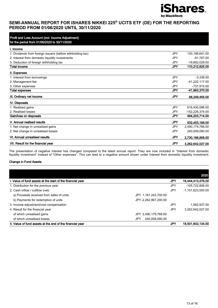

| Profit and Loss Account (incl. Income Adjustment)          |            |                  |
|------------------------------------------------------------|------------|------------------|
| for the period from 01/06/2020 to 30/11/2020               |            |                  |
| I. Income                                                  |            |                  |
| 1. Dividends from foreign issuers (before withholding tax) | <b>JPY</b> | 130,196,641.00   |
| 2. Interest from domestic liquidity investments            | JPY.       | $-91,787.00$     |
| 3. Deduction of foreign withholding tax                    | <b>JPY</b> | -19.892.029.00   |
| Total income                                               | JPY        | 110,212,825.00   |
| II. Expenses                                               |            |                  |
| 1. Interest from borrowings                                | <b>JPY</b> | $-3,338.00$      |
| 2. Management fee                                          | <b>JPY</b> | -41,222,117.00   |
| 3. Other expenses                                          | JPY        | -737.915.00      |
| <b>Total expenses</b>                                      | JPY        | -41,963,370.00   |
| III. Ordinary net income                                   | <b>JPY</b> | 68.249.455.00    |
| IV. Disposals                                              |            |                  |
| 1. Realised gains                                          | <b>JPY</b> | 616,430,088.00   |
| 2. Realised losses                                         | JPY        | -152.226.374.00  |
| Gain/loss on disposals                                     | <b>JPY</b> | 464,203,714.00   |
| V. Annual realised results                                 | <b>JPY</b> | 532,453,169.00   |
| 1. Net change in unrealised gains                          | <b>JPY</b> | 2,490,179,768.00 |
| 2. Net change in unrealised losses                         | <b>JPY</b> | 240,009,090.00   |
| VI. Annual unrealised results                              | <b>JPY</b> | 2,730,188,858.00 |
| VII. Result for the financial year                         | <b>JPY</b> | 3,262,642,027.00 |

The presentation of negative interest has changed compared to the latest annual report. They are now included in "Interest from domestic liquidity investment" instead of "Other expenses". This can lead to a negative amount shown under Interest from domestic liquidity investment.

#### Change in Fund Assets

|                                                            |                       |     | 2020                |
|------------------------------------------------------------|-----------------------|-----|---------------------|
| I. Value of fund assets at the start of the financial year |                       | JPY | 16,444,413,476.00   |
| 1. Distribution for the previous year                      |                       | JPY | -105.722.806.00     |
| 2. Cash inflow / outflow (net)                             |                       | JPY | $-1.101.623.500.00$ |
| a) Proceeds received from sales of units                   | JPY 1,161,243,700.00  |     |                     |
| b) Payments for redemption of units                        | JPY-2,262,867,200.00  |     |                     |
| 3. Income adjustment/cost compensation                     |                       | JPY | 1.892.937.00        |
| 4. Result for the financial year                           |                       | JPY | 3.262.642.027.00    |
| of which unrealised gains                                  | JPY 2,490,179,768.00  |     |                     |
| of which unrealised losses                                 | 240.009.090.00<br>JPY |     |                     |
| II. Value of fund assets at the end of the financial year  |                       | JPY | 18,501,602,134.00   |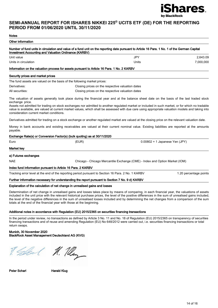

| <b>Notes</b>                                                                |                                                                                                                                                                                                                                                                                                                                                                                                                                                             |                                  |
|-----------------------------------------------------------------------------|-------------------------------------------------------------------------------------------------------------------------------------------------------------------------------------------------------------------------------------------------------------------------------------------------------------------------------------------------------------------------------------------------------------------------------------------------------------|----------------------------------|
| Other information                                                           |                                                                                                                                                                                                                                                                                                                                                                                                                                                             |                                  |
| <b>Investment Accounting and Valuation Ordinance (KARBV)</b>                | Number of fund units in circulation and value of a fund unit on the reporting date pursuant to Article 16 Para. 1 No. 1 of the German Capital                                                                                                                                                                                                                                                                                                               |                                  |
| Unit value                                                                  | <b>JPY</b>                                                                                                                                                                                                                                                                                                                                                                                                                                                  | 2,643.09                         |
| Units in circulation                                                        | Units                                                                                                                                                                                                                                                                                                                                                                                                                                                       | 7,000,000                        |
|                                                                             | Information on the valuation process for assets pursuant to Article 16 Para. 1 No. 2 KARBV                                                                                                                                                                                                                                                                                                                                                                  |                                  |
| Security prices and market prices                                           |                                                                                                                                                                                                                                                                                                                                                                                                                                                             |                                  |
|                                                                             | The fund assets are valued on the basis of the following market prices:                                                                                                                                                                                                                                                                                                                                                                                     |                                  |
| Derivatives:                                                                | Closing prices on the respective valuation dates                                                                                                                                                                                                                                                                                                                                                                                                            |                                  |
| All securities:                                                             | Closing prices on the respective valuation dates                                                                                                                                                                                                                                                                                                                                                                                                            |                                  |
| exchange price.<br>consideration current market conditions.                 | The valuation of assets generally took place during the financial year and at the balance sheet date on the basis of the last traded stock<br>Assets not admitted for trading on stock exchanges nor admitted to another regulated market or included in such market, or for which no tradable<br>value is available, are valued at current market values, which shall be assessed with due care using appropriate valuation models and taking into         |                                  |
|                                                                             | Derivatives admitted for trading on a stock exchange or another regulated market are valued at the closing price on the relevant valuation date.                                                                                                                                                                                                                                                                                                            |                                  |
| payable.                                                                    | Money in bank accounts and existing receivables are valued at their current nominal value. Existing liabilities are reported at the amounts                                                                                                                                                                                                                                                                                                                 |                                  |
|                                                                             | Exchange Rate(s) or Conversion Factor(s) (bulk quoting) as at 30/11/2020                                                                                                                                                                                                                                                                                                                                                                                    |                                  |
| Euro                                                                        | (EUR)                                                                                                                                                                                                                                                                                                                                                                                                                                                       | $0.00802 = 1$ Japanese Yen (JPY) |
| Market key                                                                  |                                                                                                                                                                                                                                                                                                                                                                                                                                                             |                                  |
| a) Futures exchanges                                                        |                                                                                                                                                                                                                                                                                                                                                                                                                                                             |                                  |
| NAE                                                                         | Chicago - Chicago Mercantile Exchange (CME) - Index and Option Market (IOM)                                                                                                                                                                                                                                                                                                                                                                                 |                                  |
| Index fund information pursuant to Article 16 Para. 2 KARBV                 |                                                                                                                                                                                                                                                                                                                                                                                                                                                             |                                  |
|                                                                             | Tracking error level at the end of the reporting period pursuant to Section 16 Para. 2 No. 1 KARBV                                                                                                                                                                                                                                                                                                                                                          | 1.20 percentage points           |
|                                                                             | Further information necessary for understanding the report pursuant to Section 7 No. 9 d) KARBV                                                                                                                                                                                                                                                                                                                                                             |                                  |
|                                                                             | Explanation of the calculation of net change in unrealised gains and losses                                                                                                                                                                                                                                                                                                                                                                                 |                                  |
| totals at the end of the financial year with those at the beginning.        | Determination of net change in unrealised gains and losses takes place by means of comparing, in each financial year, the valuations of assets<br>included in the unit price with the relevant historical purchase prices, the level of the positive differences in the sum of unrealised gains included,<br>the level of the negative differences in the sum of unrealised losses included and by determining the net changes from a comparison of the sum |                                  |
|                                                                             | Additional notes in accordance with Regulation (EU) 2015/2365 on securities financing transactions                                                                                                                                                                                                                                                                                                                                                          |                                  |
| return swaps.                                                               | In the period under review, no transactions as defined by Article 3 No. 11 and No. 18 of Regulation (EU) 2015/2365 on transparency of securities<br>financing transactions and of reuse and amending Regulation (EU) No 648/2012 were carried out, i.e. securities financing transactions or total                                                                                                                                                          |                                  |
| Munich, 30 November 2020<br>BlackRock Asset Management Deutschland AG (KVG) |                                                                                                                                                                                                                                                                                                                                                                                                                                                             |                                  |

R. Sellen ( M. Meng

Peter Scharl **Harald Klug**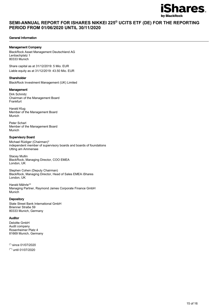

#### General Information

### Management Company

BlackRock Asset Management Deutschland AG Lenbachplatz 1 80333 Munich

Share capital as at 31/12/2019: 5 Mio. EUR Liable equity as at 31/12/2019: 43.50 Mio. EUR

#### Shareholder

BlackRock Investment Management (UK) Limited

#### Management

Dirk Schmitz Chairman of the Management Board Frankfurt

Harald Klug Member of the Management Board Munich

Peter Scharl Member of the Management Board Munich

#### Supervisory Board

Michael Rüdiger (Chairman)\* independent member of supervisory boards and boards of foundations Utting am Ammersee

Stacey Mullin BlackRock, Managing Director, COO EMEA London, UK

Stephen Cohen (Deputy Chairman) BlackRock, Managing Director, Head of Sales EMEA iShares London, UK

Harald Mährle\*\* Managing Partner, Raymond James Corporate Finance GmbH Munich

#### **Depository**

State Street Bank International GmbH Brienner Straße 59 80333 Munich, Germany

#### Auditor

Deloitte GmbH Audit company Rosenheimer Platz 4 81669 Munich, Germany

(\*) since 01/07/2020 (\*\*) until 01/07/2020